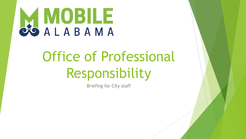

# Office of Professional Responsibility

Briefing for City staff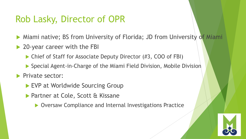### Rob Lasky, Director of OPR

- Miami native; BS from University of Florida; JD from University of Miami
- ▶ 20-year career with the FBI
	- ▶ Chief of Staff for Associate Deputy Director (#3, COO of FBI)
	- Special Agent-in-Charge of the Miami Field Division, Mobile Division
- **Private sector:** 
	- EVP at Worldwide Sourcing Group
	- ▶ Partner at Cole, Scott & Kissane
		- ▶ Oversaw Compliance and Internal Investigations Practice

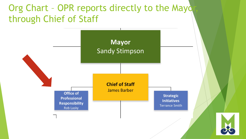### Org Chart - OPR reports directly to the Mayo through Chief of Staff

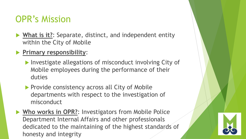# OPR's Mission

- **What is it?**: Separate, distinct, and independent entity within the City of Mobile
- **Primary responsibility**:
	- Investigate allegations of misconduct involving City of Mobile employees during the performance of their duties
	- **Provide consistency across all City of Mobile** departments with respect to the investigation of misconduct
- ▶ Who works in OPR?: Investigators from Mobile Police Department Internal Affairs and other professionals dedicated to the maintaining of the highest standards of honesty and integrity

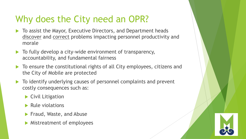# Why does the City need an OPR?

- To assist the Mayor, Executive Directors, and Department heads discover and correct problems impacting personnel productivity and morale
- $\blacktriangleright$  To fully develop a city-wide environment of transparency, accountability, and fundamental fairness
- ▶ To ensure the constitutional rights of all City employees, citizens and the City of Mobile are protected
- To identify underlying causes of personnel complaints and prevent costly consequences such as:
	- ▶ Civil Litigation
	- $\blacktriangleright$  Rule violations
	- **Fraud, Waste, and Abuse**
	- **Mistreatment of employees**

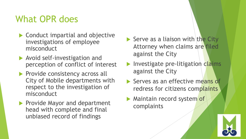# What OPR does

- ▶ Conduct impartial and objective investigations of employee misconduct
- **Avoid self-investigation and** perception of conflict of interest
- Provide consistency across all City of Mobile departments with respect to the investigation of misconduct
- Provide Mayor and department head with complete and final unbiased record of findings
- $\blacktriangleright$  Serve as a liaison with the City Attorney when claims are filed against the City
- Investigate pre-litigation claims against the City
- Serves as an effective means of redress for citizens complaints
- **Maintain record system of** complaints

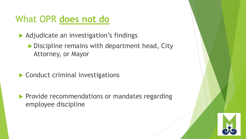#### What OPR **does not do**

▶ Adjudicate an investigation's findings

Discipline remains with department head, City Attorney, or Mayor

▶ Conduct criminal investigations

**Provide recommendations or mandates regarding** employee discipline

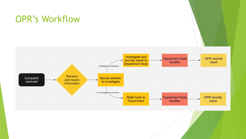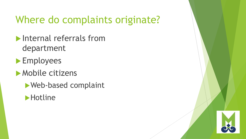# Where do complaints originate?

**Internal referrals from** department

**Employees** 

**Mobile citizens** 

Web-based complaint



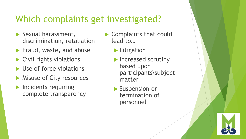## Which complaints get investigated?

- Sexual harassment, discrimination, retaliation
- Fraud, waste, and abuse
- $\blacktriangleright$  Civil rights violations
- Use of force violations
- **Misuse of City resources**
- $\blacktriangleright$  Incidents requiring complete transparency
- Complaints that could lead to…
	- **Litigation**
	- Increased scrutiny based upon participants\subject matter
	- Suspension or termination of personnel

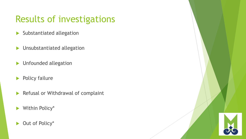# Results of investigations

- $\blacktriangleright$  Substantiated allegation
- **Insubstantiated allegation**
- **Infounded allegation**
- **Policy failure**
- Refusal or Withdrawal of complaint
- Within Policy\*
- ▶ Out of Policy\*